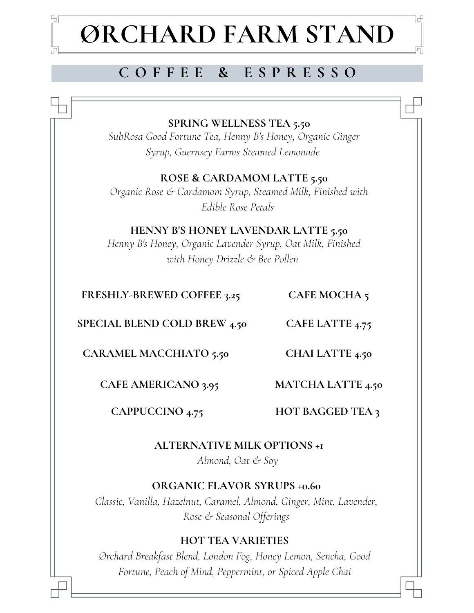# **ØRCHARD FARM STAND**

# **C O F F E E & E S P R E S S O**

**SPRING WELLNESS TEA 5.50**

*SubRosa Good Fortune Tea, Henny B's Honey, Organic Ginger Syrup, Guernsey Farms Steamed Lemonade*

*Organic Rose & Cardamom Syrup, Steamed Milk, Finished with Edible Rose Petals* **ROSE & CARDAMOM LATTE 5.50**

## **HENNY B'S HONEY LAVENDAR LATTE 5.50**

*Henny B's Honey, Organic Lavender Syrup, Oat Milk, Finished with Honey Drizzle & Bee Pollen*

## **FRESHLY-BREWED COFFEE 3.25**

ъ

**CAFE MOCHA 5**

**CAFE LATTE 4.75 SPECIAL BLEND COLD BREW 4.50**

**CARAMEL MACCHIATO 5.50**

**CAFE AMERICANO 3.95**

**MATCHA LATTE 4.50**

**CHAI LATTE 4.50**

**CAPPUCCINO 4.75**

**HOT BAGGED TEA 3**

**ALTERNATIVE MILK OPTIONS +1**

*Almond, Oat & Soy*

## **ORGANIC FLAVOR SYRUPS +0.60**

*Classic, Vanilla, Hazelnut, Caramel, Almond, Ginger, Mint, Lavender, Rose & Seasonal Offerings*

## **HOT TEA VARIETIES**

*Ørchard Breakfast Blend, London Fog, Honey Lemon, Sencha, Good Fortune, Peach of Mind, Peppermint, or Spiced Apple Chai*